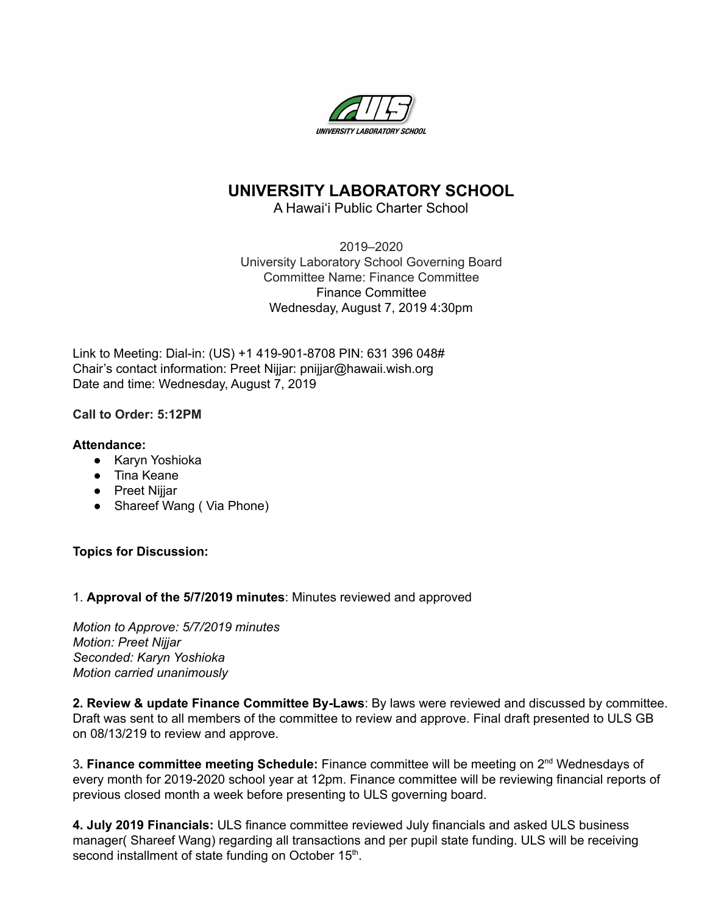

# **UNIVERSITY LABORATORY SCHOOL**

A Hawai'i Public Charter School

2019–2020 University Laboratory School Governing Board Committee Name: Finance Committee Finance Committee Wednesday, August 7, 2019 4:30pm

Link to Meeting: Dial-in: (US) +1 419-901-8708 PIN: 631 396 048# Chair's contact information: Preet Nijjar: pnijjar@hawaii.wish.org Date and time: Wednesday, August 7, 2019

## **Call to Order: 5:12PM**

### **Attendance:**

- Karyn Yoshioka
- Tina Keane
- Preet Nijjar
- Shareef Wang ( Via Phone)

### **Topics for Discussion:**

### 1. **Approval of the 5/7/2019 minutes**: Minutes reviewed and approved

*Motion to Approve: 5/7/2019 minutes Motion: Preet Nijjar Seconded: Karyn Yoshioka Motion carried unanimously*

**2. Review & update Finance Committee By-Laws**: By laws were reviewed and discussed by committee. Draft was sent to all members of the committee to review and approve. Final draft presented to ULS GB on 08/13/219 to review and approve.

3**. Finance committee meeting Schedule:** Finance committee will be meeting on 2 nd Wednesdays of every month for 2019-2020 school year at 12pm. Finance committee will be reviewing financial reports of previous closed month a week before presenting to ULS governing board.

**4. July 2019 Financials:** ULS finance committee reviewed July financials and asked ULS business manager( Shareef Wang) regarding all transactions and per pupil state funding. ULS will be receiving second installment of state funding on October 15<sup>th</sup>.